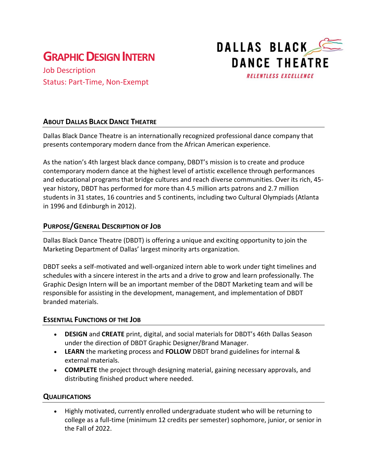# **GRAPHICDESIGN INTERN**

Job Description Status: Part-Time, Non-Exempt



## **ABOUT DALLAS BLACK DANCE THEATRE**

Dallas Black Dance Theatre is an internationally recognized professional dance company that presents contemporary modern dance from the African American experience.

As the nation's 4th largest black dance company, DBDT's mission is to create and produce contemporary modern dance at the highest level of artistic excellence through performances and educational programs that bridge cultures and reach diverse communities. Over its rich, 45 year history, DBDT has performed for more than 4.5 million arts patrons and 2.7 million students in 31 states, 16 countries and 5 continents, including two Cultural Olympiads (Atlanta in 1996 and Edinburgh in 2012).

## **PURPOSE/GENERAL DESCRIPTION OF JOB**

Dallas Black Dance Theatre (DBDT) is offering a unique and exciting opportunity to join the Marketing Department of Dallas' largest minority arts organization.

DBDT seeks a self-motivated and well-organized intern able to work under tight timelines and schedules with a sincere interest in the arts and a drive to grow and learn professionally. The Graphic Design Intern will be an important member of the DBDT Marketing team and will be responsible for assisting in the development, management, and implementation of DBDT branded materials.

#### **ESSENTIAL FUNCTIONS OF THE JOB**

- **DESIGN** and **CREATE** print, digital, and social materials for DBDT's 46th Dallas Season under the direction of DBDT Graphic Designer/Brand Manager.
- **LEARN** the marketing process and **FOLLOW** DBDT brand guidelines for internal & external materials.
- **COMPLETE** the project through designing material, gaining necessary approvals, and distributing finished product where needed.

#### **QUALIFICATIONS**

• Highly motivated, currently enrolled undergraduate student who will be returning to college as a full-time (minimum 12 credits per semester) sophomore, junior, or senior in the Fall of 2022.